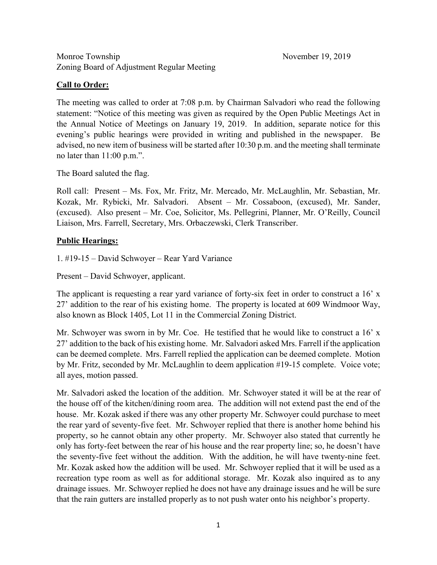# **Call to Order:**

The meeting was called to order at 7:08 p.m. by Chairman Salvadori who read the following statement: "Notice of this meeting was given as required by the Open Public Meetings Act in the Annual Notice of Meetings on January 19, 2019. In addition, separate notice for this evening's public hearings were provided in writing and published in the newspaper. Be advised, no new item of business will be started after 10:30 p.m. and the meeting shall terminate no later than 11:00 p.m.".

The Board saluted the flag.

Roll call: Present – Ms. Fox, Mr. Fritz, Mr. Mercado, Mr. McLaughlin, Mr. Sebastian, Mr. Kozak, Mr. Rybicki, Mr. Salvadori. Absent – Mr. Cossaboon, (excused), Mr. Sander, (excused). Also present – Mr. Coe, Solicitor, Ms. Pellegrini, Planner, Mr. O'Reilly, Council Liaison, Mrs. Farrell, Secretary, Mrs. Orbaczewski, Clerk Transcriber.

# **Public Hearings:**

1. #19-15 – David Schwoyer – Rear Yard Variance

Present – David Schwoyer, applicant.

The applicant is requesting a rear yard variance of forty-six feet in order to construct a 16' x 27' addition to the rear of his existing home. The property is located at 609 Windmoor Way, also known as Block 1405, Lot 11 in the Commercial Zoning District.

Mr. Schwoyer was sworn in by Mr. Coe. He testified that he would like to construct a  $16' x$ 27' addition to the back of his existing home. Mr. Salvadori asked Mrs. Farrell if the application can be deemed complete. Mrs. Farrell replied the application can be deemed complete. Motion by Mr. Fritz, seconded by Mr. McLaughlin to deem application #19-15 complete. Voice vote; all ayes, motion passed.

Mr. Salvadori asked the location of the addition. Mr. Schwoyer stated it will be at the rear of the house off of the kitchen/dining room area. The addition will not extend past the end of the house. Mr. Kozak asked if there was any other property Mr. Schwoyer could purchase to meet the rear yard of seventy-five feet. Mr. Schwoyer replied that there is another home behind his property, so he cannot obtain any other property. Mr. Schwoyer also stated that currently he only has forty-feet between the rear of his house and the rear property line; so, he doesn't have the seventy-five feet without the addition. With the addition, he will have twenty-nine feet. Mr. Kozak asked how the addition will be used. Mr. Schwoyer replied that it will be used as a recreation type room as well as for additional storage. Mr. Kozak also inquired as to any drainage issues. Mr. Schwoyer replied he does not have any drainage issues and he will be sure that the rain gutters are installed properly as to not push water onto his neighbor's property.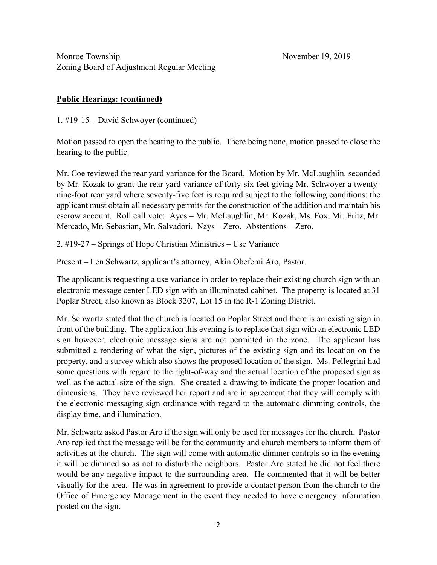# **Public Hearings: (continued)**

1. #19-15 – David Schwoyer (continued)

Motion passed to open the hearing to the public. There being none, motion passed to close the hearing to the public.

Mr. Coe reviewed the rear yard variance for the Board. Motion by Mr. McLaughlin, seconded by Mr. Kozak to grant the rear yard variance of forty-six feet giving Mr. Schwoyer a twentynine-foot rear yard where seventy-five feet is required subject to the following conditions: the applicant must obtain all necessary permits for the construction of the addition and maintain his escrow account. Roll call vote: Ayes – Mr. McLaughlin, Mr. Kozak, Ms. Fox, Mr. Fritz, Mr. Mercado, Mr. Sebastian, Mr. Salvadori. Nays – Zero. Abstentions – Zero.

2. #19-27 – Springs of Hope Christian Ministries – Use Variance

Present – Len Schwartz, applicant's attorney, Akin Obefemi Aro, Pastor.

The applicant is requesting a use variance in order to replace their existing church sign with an electronic message center LED sign with an illuminated cabinet. The property is located at 31 Poplar Street, also known as Block 3207, Lot 15 in the R-1 Zoning District.

Mr. Schwartz stated that the church is located on Poplar Street and there is an existing sign in front of the building. The application this evening is to replace that sign with an electronic LED sign however, electronic message signs are not permitted in the zone. The applicant has submitted a rendering of what the sign, pictures of the existing sign and its location on the property, and a survey which also shows the proposed location of the sign. Ms. Pellegrini had some questions with regard to the right-of-way and the actual location of the proposed sign as well as the actual size of the sign. She created a drawing to indicate the proper location and dimensions. They have reviewed her report and are in agreement that they will comply with the electronic messaging sign ordinance with regard to the automatic dimming controls, the display time, and illumination.

Mr. Schwartz asked Pastor Aro if the sign will only be used for messages for the church. Pastor Aro replied that the message will be for the community and church members to inform them of activities at the church. The sign will come with automatic dimmer controls so in the evening it will be dimmed so as not to disturb the neighbors. Pastor Aro stated he did not feel there would be any negative impact to the surrounding area. He commented that it will be better visually for the area. He was in agreement to provide a contact person from the church to the Office of Emergency Management in the event they needed to have emergency information posted on the sign.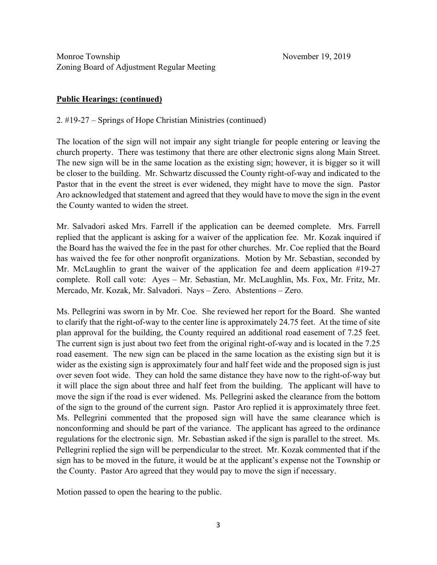### **Public Hearings: (continued)**

2. #19-27 – Springs of Hope Christian Ministries (continued)

The location of the sign will not impair any sight triangle for people entering or leaving the church property. There was testimony that there are other electronic signs along Main Street. The new sign will be in the same location as the existing sign; however, it is bigger so it will be closer to the building. Mr. Schwartz discussed the County right-of-way and indicated to the Pastor that in the event the street is ever widened, they might have to move the sign. Pastor Aro acknowledged that statement and agreed that they would have to move the sign in the event the County wanted to widen the street.

Mr. Salvadori asked Mrs. Farrell if the application can be deemed complete. Mrs. Farrell replied that the applicant is asking for a waiver of the application fee. Mr. Kozak inquired if the Board has the waived the fee in the past for other churches. Mr. Coe replied that the Board has waived the fee for other nonprofit organizations. Motion by Mr. Sebastian, seconded by Mr. McLaughlin to grant the waiver of the application fee and deem application #19-27 complete. Roll call vote: Ayes – Mr. Sebastian, Mr. McLaughlin, Ms. Fox, Mr. Fritz, Mr. Mercado, Mr. Kozak, Mr. Salvadori. Nays – Zero. Abstentions – Zero.

Ms. Pellegrini was sworn in by Mr. Coe. She reviewed her report for the Board. She wanted to clarify that the right-of-way to the center line is approximately 24.75 feet. At the time of site plan approval for the building, the County required an additional road easement of 7.25 feet. The current sign is just about two feet from the original right-of-way and is located in the 7.25 road easement. The new sign can be placed in the same location as the existing sign but it is wider as the existing sign is approximately four and half feet wide and the proposed sign is just over seven foot wide. They can hold the same distance they have now to the right-of-way but it will place the sign about three and half feet from the building. The applicant will have to move the sign if the road is ever widened. Ms. Pellegrini asked the clearance from the bottom of the sign to the ground of the current sign. Pastor Aro replied it is approximately three feet. Ms. Pellegrini commented that the proposed sign will have the same clearance which is nonconforming and should be part of the variance. The applicant has agreed to the ordinance regulations for the electronic sign. Mr. Sebastian asked if the sign is parallel to the street. Ms. Pellegrini replied the sign will be perpendicular to the street. Mr. Kozak commented that if the sign has to be moved in the future, it would be at the applicant's expense not the Township or the County. Pastor Aro agreed that they would pay to move the sign if necessary.

Motion passed to open the hearing to the public.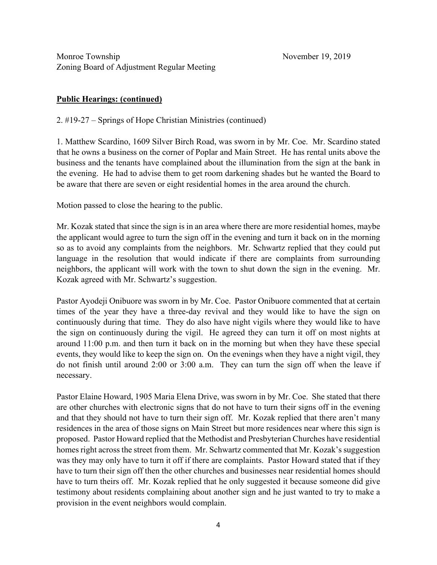# **Public Hearings: (continued)**

2. #19-27 – Springs of Hope Christian Ministries (continued)

1. Matthew Scardino, 1609 Silver Birch Road, was sworn in by Mr. Coe. Mr. Scardino stated that he owns a business on the corner of Poplar and Main Street. He has rental units above the business and the tenants have complained about the illumination from the sign at the bank in the evening. He had to advise them to get room darkening shades but he wanted the Board to be aware that there are seven or eight residential homes in the area around the church.

Motion passed to close the hearing to the public.

Mr. Kozak stated that since the sign is in an area where there are more residential homes, maybe the applicant would agree to turn the sign off in the evening and turn it back on in the morning so as to avoid any complaints from the neighbors. Mr. Schwartz replied that they could put language in the resolution that would indicate if there are complaints from surrounding neighbors, the applicant will work with the town to shut down the sign in the evening. Mr. Kozak agreed with Mr. Schwartz's suggestion.

Pastor Ayodeji Onibuore was sworn in by Mr. Coe. Pastor Onibuore commented that at certain times of the year they have a three-day revival and they would like to have the sign on continuously during that time. They do also have night vigils where they would like to have the sign on continuously during the vigil. He agreed they can turn it off on most nights at around 11:00 p.m. and then turn it back on in the morning but when they have these special events, they would like to keep the sign on. On the evenings when they have a night vigil, they do not finish until around 2:00 or 3:00 a.m. They can turn the sign off when the leave if necessary.

Pastor Elaine Howard, 1905 Maria Elena Drive, was sworn in by Mr. Coe. She stated that there are other churches with electronic signs that do not have to turn their signs off in the evening and that they should not have to turn their sign off. Mr. Kozak replied that there aren't many residences in the area of those signs on Main Street but more residences near where this sign is proposed. Pastor Howard replied that the Methodist and Presbyterian Churches have residential homes right across the street from them. Mr. Schwartz commented that Mr. Kozak's suggestion was they may only have to turn it off if there are complaints. Pastor Howard stated that if they have to turn their sign off then the other churches and businesses near residential homes should have to turn theirs off. Mr. Kozak replied that he only suggested it because someone did give testimony about residents complaining about another sign and he just wanted to try to make a provision in the event neighbors would complain.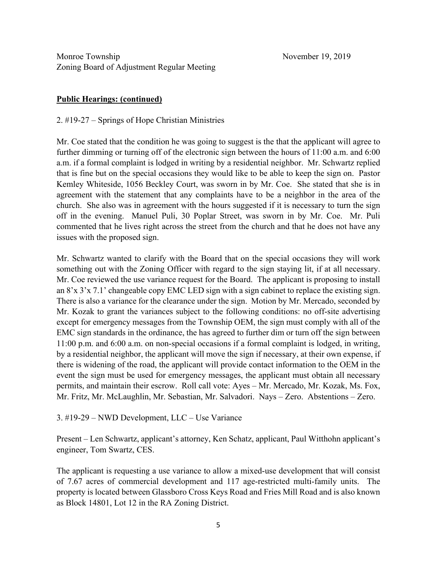# **Public Hearings: (continued)**

2. #19-27 – Springs of Hope Christian Ministries

Mr. Coe stated that the condition he was going to suggest is the that the applicant will agree to further dimming or turning off of the electronic sign between the hours of 11:00 a.m. and 6:00 a.m. if a formal complaint is lodged in writing by a residential neighbor. Mr. Schwartz replied that is fine but on the special occasions they would like to be able to keep the sign on. Pastor Kemley Whiteside, 1056 Beckley Court, was sworn in by Mr. Coe. She stated that she is in agreement with the statement that any complaints have to be a neighbor in the area of the church. She also was in agreement with the hours suggested if it is necessary to turn the sign off in the evening. Manuel Puli, 30 Poplar Street, was sworn in by Mr. Coe. Mr. Puli commented that he lives right across the street from the church and that he does not have any issues with the proposed sign.

Mr. Schwartz wanted to clarify with the Board that on the special occasions they will work something out with the Zoning Officer with regard to the sign staying lit, if at all necessary. Mr. Coe reviewed the use variance request for the Board. The applicant is proposing to install an 8'x 3'x 7.1' changeable copy EMC LED sign with a sign cabinet to replace the existing sign. There is also a variance for the clearance under the sign. Motion by Mr. Mercado, seconded by Mr. Kozak to grant the variances subject to the following conditions: no off-site advertising except for emergency messages from the Township OEM, the sign must comply with all of the EMC sign standards in the ordinance, the has agreed to further dim or turn off the sign between 11:00 p.m. and 6:00 a.m. on non-special occasions if a formal complaint is lodged, in writing, by a residential neighbor, the applicant will move the sign if necessary, at their own expense, if there is widening of the road, the applicant will provide contact information to the OEM in the event the sign must be used for emergency messages, the applicant must obtain all necessary permits, and maintain their escrow. Roll call vote: Ayes – Mr. Mercado, Mr. Kozak, Ms. Fox, Mr. Fritz, Mr. McLaughlin, Mr. Sebastian, Mr. Salvadori. Nays – Zero. Abstentions – Zero.

#### 3. #19-29 – NWD Development, LLC – Use Variance

Present – Len Schwartz, applicant's attorney, Ken Schatz, applicant, Paul Witthohn applicant's engineer, Tom Swartz, CES.

The applicant is requesting a use variance to allow a mixed-use development that will consist of 7.67 acres of commercial development and 117 age-restricted multi-family units. The property is located between Glassboro Cross Keys Road and Fries Mill Road and is also known as Block 14801, Lot 12 in the RA Zoning District.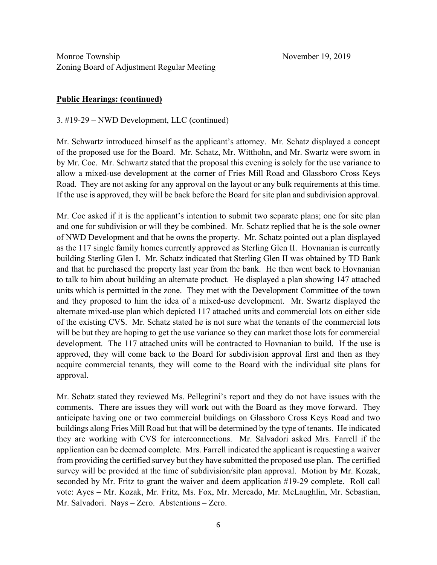### **Public Hearings: (continued)**

3. #19-29 – NWD Development, LLC (continued)

Mr. Schwartz introduced himself as the applicant's attorney. Mr. Schatz displayed a concept of the proposed use for the Board. Mr. Schatz, Mr. Witthohn, and Mr. Swartz were sworn in by Mr. Coe. Mr. Schwartz stated that the proposal this evening is solely for the use variance to allow a mixed-use development at the corner of Fries Mill Road and Glassboro Cross Keys Road. They are not asking for any approval on the layout or any bulk requirements at this time. If the use is approved, they will be back before the Board for site plan and subdivision approval.

Mr. Coe asked if it is the applicant's intention to submit two separate plans; one for site plan and one for subdivision or will they be combined. Mr. Schatz replied that he is the sole owner of NWD Development and that he owns the property. Mr. Schatz pointed out a plan displayed as the 117 single family homes currently approved as Sterling Glen II. Hovnanian is currently building Sterling Glen I. Mr. Schatz indicated that Sterling Glen II was obtained by TD Bank and that he purchased the property last year from the bank. He then went back to Hovnanian to talk to him about building an alternate product. He displayed a plan showing 147 attached units which is permitted in the zone. They met with the Development Committee of the town and they proposed to him the idea of a mixed-use development. Mr. Swartz displayed the alternate mixed-use plan which depicted 117 attached units and commercial lots on either side of the existing CVS. Mr. Schatz stated he is not sure what the tenants of the commercial lots will be but they are hoping to get the use variance so they can market those lots for commercial development. The 117 attached units will be contracted to Hovnanian to build. If the use is approved, they will come back to the Board for subdivision approval first and then as they acquire commercial tenants, they will come to the Board with the individual site plans for approval.

Mr. Schatz stated they reviewed Ms. Pellegrini's report and they do not have issues with the comments. There are issues they will work out with the Board as they move forward. They anticipate having one or two commercial buildings on Glassboro Cross Keys Road and two buildings along Fries Mill Road but that will be determined by the type of tenants. He indicated they are working with CVS for interconnections. Mr. Salvadori asked Mrs. Farrell if the application can be deemed complete. Mrs. Farrell indicated the applicant is requesting a waiver from providing the certified survey but they have submitted the proposed use plan. The certified survey will be provided at the time of subdivision/site plan approval. Motion by Mr. Kozak, seconded by Mr. Fritz to grant the waiver and deem application #19-29 complete. Roll call vote: Ayes – Mr. Kozak, Mr. Fritz, Ms. Fox, Mr. Mercado, Mr. McLaughlin, Mr. Sebastian, Mr. Salvadori. Nays – Zero. Abstentions – Zero.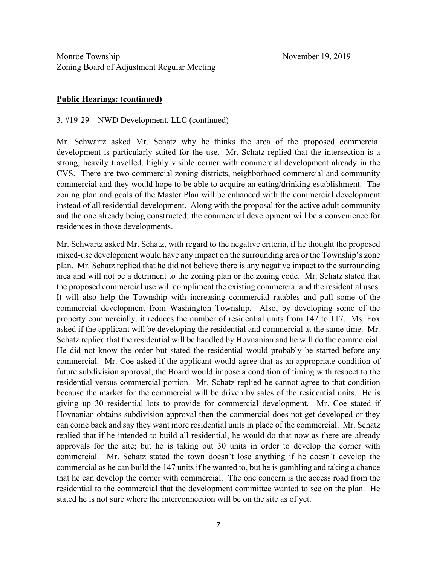### **Public Hearings: (continued)**

3. #19-29 – NWD Development, LLC (continued)

Mr. Schwartz asked Mr. Schatz why he thinks the area of the proposed commercial development is particularly suited for the use. Mr. Schatz replied that the intersection is a strong, heavily travelled, highly visible corner with commercial development already in the CVS. There are two commercial zoning districts, neighborhood commercial and community commercial and they would hope to be able to acquire an eating/drinking establishment. The zoning plan and goals of the Master Plan will be enhanced with the commercial development instead of all residential development. Along with the proposal for the active adult community and the one already being constructed; the commercial development will be a convenience for residences in those developments.

Mr. Schwartz asked Mr. Schatz, with regard to the negative criteria, if he thought the proposed mixed-use development would have any impact on the surrounding area or the Township's zone plan. Mr. Schatz replied that he did not believe there is any negative impact to the surrounding area and will not be a detriment to the zoning plan or the zoning code. Mr. Schatz stated that the proposed commercial use will compliment the existing commercial and the residential uses. It will also help the Township with increasing commercial ratables and pull some of the commercial development from Washington Township. Also, by developing some of the property commercially, it reduces the number of residential units from 147 to 117. Ms. Fox asked if the applicant will be developing the residential and commercial at the same time. Mr. Schatz replied that the residential will be handled by Hovnanian and he will do the commercial. He did not know the order but stated the residential would probably be started before any commercial. Mr. Coe asked if the applicant would agree that as an appropriate condition of future subdivision approval, the Board would impose a condition of timing with respect to the residential versus commercial portion. Mr. Schatz replied he cannot agree to that condition because the market for the commercial will be driven by sales of the residential units. He is giving up 30 residential lots to provide for commercial development. Mr. Coe stated if Hovnanian obtains subdivision approval then the commercial does not get developed or they can come back and say they want more residential units in place of the commercial. Mr. Schatz replied that if he intended to build all residential, he would do that now as there are already approvals for the site; but he is taking out 30 units in order to develop the corner with commercial. Mr. Schatz stated the town doesn't lose anything if he doesn't develop the commercial as he can build the 147 units if he wanted to, but he is gambling and taking a chance that he can develop the corner with commercial. The one concern is the access road from the residential to the commercial that the development committee wanted to see on the plan. He stated he is not sure where the interconnection will be on the site as of yet.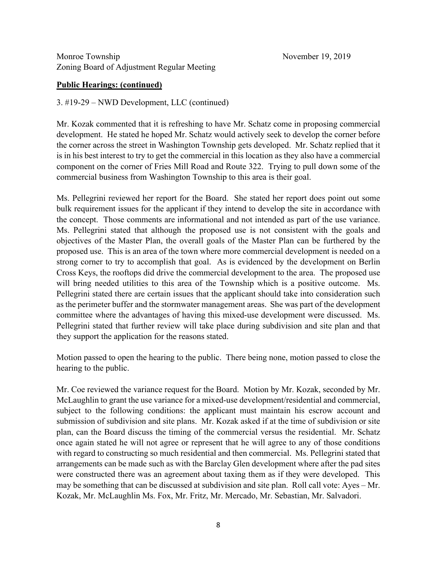#### **Public Hearings: (continued)**

3. #19-29 – NWD Development, LLC (continued)

Mr. Kozak commented that it is refreshing to have Mr. Schatz come in proposing commercial development. He stated he hoped Mr. Schatz would actively seek to develop the corner before the corner across the street in Washington Township gets developed. Mr. Schatz replied that it is in his best interest to try to get the commercial in this location as they also have a commercial component on the corner of Fries Mill Road and Route 322. Trying to pull down some of the commercial business from Washington Township to this area is their goal.

Ms. Pellegrini reviewed her report for the Board. She stated her report does point out some bulk requirement issues for the applicant if they intend to develop the site in accordance with the concept. Those comments are informational and not intended as part of the use variance. Ms. Pellegrini stated that although the proposed use is not consistent with the goals and objectives of the Master Plan, the overall goals of the Master Plan can be furthered by the proposed use. This is an area of the town where more commercial development is needed on a strong corner to try to accomplish that goal. As is evidenced by the development on Berlin Cross Keys, the rooftops did drive the commercial development to the area. The proposed use will bring needed utilities to this area of the Township which is a positive outcome. Ms. Pellegrini stated there are certain issues that the applicant should take into consideration such as the perimeter buffer and the stormwater management areas. She was part of the development committee where the advantages of having this mixed-use development were discussed. Ms. Pellegrini stated that further review will take place during subdivision and site plan and that they support the application for the reasons stated.

Motion passed to open the hearing to the public. There being none, motion passed to close the hearing to the public.

Mr. Coe reviewed the variance request for the Board. Motion by Mr. Kozak, seconded by Mr. McLaughlin to grant the use variance for a mixed-use development/residential and commercial, subject to the following conditions: the applicant must maintain his escrow account and submission of subdivision and site plans. Mr. Kozak asked if at the time of subdivision or site plan, can the Board discuss the timing of the commercial versus the residential. Mr. Schatz once again stated he will not agree or represent that he will agree to any of those conditions with regard to constructing so much residential and then commercial. Ms. Pellegrini stated that arrangements can be made such as with the Barclay Glen development where after the pad sites were constructed there was an agreement about taxing them as if they were developed. This may be something that can be discussed at subdivision and site plan. Roll call vote: Ayes – Mr. Kozak, Mr. McLaughlin Ms. Fox, Mr. Fritz, Mr. Mercado, Mr. Sebastian, Mr. Salvadori.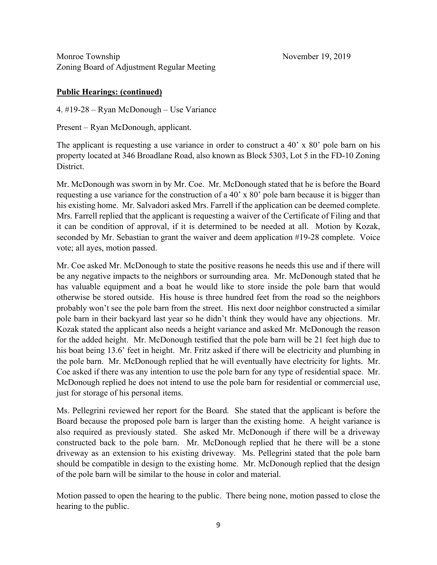### **Public Hearings: (continued)**

4. #19-28 – Ryan McDonough – Use Variance

Present – Ryan McDonough, applicant.

The applicant is requesting a use variance in order to construct a 40' x 80' pole barn on his property located at 346 Broadlane Road, also known as Block 5303, Lot 5 in the FD-10 Zoning District.

Mr. McDonough was sworn in by Mr. Coe. Mr. McDonough stated that he is before the Board requesting a use variance for the construction of a 40' x 80' pole barn because it is bigger than his existing home. Mr. Salvadori asked Mrs. Farrell if the application can be deemed complete. Mrs. Farrell replied that the applicant is requesting a waiver of the Certificate of Filing and that it can be condition of approval, if it is determined to be needed at all. Motion by Kozak, seconded by Mr. Sebastian to grant the waiver and deem application #19-28 complete. Voice vote; all ayes, motion passed.

Mr. Coe asked Mr. McDonough to state the positive reasons he needs this use and if there will be any negative impacts to the neighbors or surrounding area. Mr. McDonough stated that he has valuable equipment and a boat he would like to store inside the pole barn that would otherwise be stored outside. His house is three hundred feet from the road so the neighbors probably won't see the pole barn from the street. His next door neighbor constructed a similar pole barn in their backyard last year so he didn't think they would have any objections. Mr. Kozak stated the applicant also needs a height variance and asked Mr. McDonough the reason for the added height. Mr. McDonough testified that the pole barn will be 21 feet high due to his boat being 13.6' feet in height. Mr. Fritz asked if there will be electricity and plumbing in the pole barn. Mr. McDonough replied that he will eventually have electricity for lights. Mr. Coe asked if there was any intention to use the pole barn for any type of residential space. Mr. McDonough replied he does not intend to use the pole barn for residential or commercial use, just for storage of his personal items.

Ms. Pellegrini reviewed her report for the Board. She stated that the applicant is before the Board because the proposed pole barn is larger than the existing home. A height variance is also required as previously stated. She asked Mr. McDonough if there will be a driveway constructed back to the pole barn. Mr. McDonough replied that he there will be a stone driveway as an extension to his existing driveway. Ms. Pellegrini stated that the pole barn should be compatible in design to the existing home. Mr. McDonough replied that the design of the pole barn will be similar to the house in color and material.

Motion passed to open the hearing to the public. There being none, motion passed to close the hearing to the public.